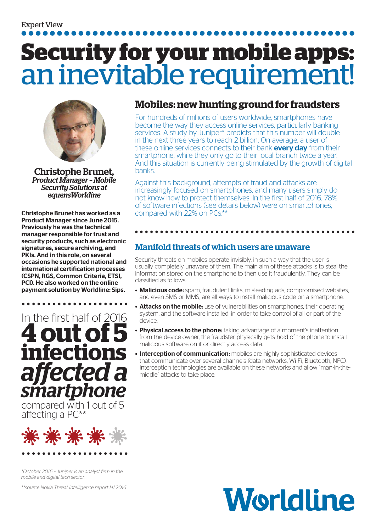# **Security for your mobile apps:**  an inevitable requirement!



Christophe Brunet, *Product Manager – Mobile Security Solutions at equensWorldine*

Christophe Brunet has worked as a Product Manager since June 2015. Previously he was the technical manager responsible for trust and security products, such as electronic signatures, secure archiving, and PKIs. And in this role, on several occasions he supported national and international certification processes (CSPN, RGS, Common Criteria, ETSI, PCI). He also worked on the online payment solution by Worldline: Sips.



compared with 1 out of 5 affecting a PC\*\*



*\*October 2016 – Juniper is an analyst firm in the mobile and digital tech sector.* 

*\*\*source Nokia Threat Intelligence report H1 2016*

## **Mobiles: new hunting ground for fraudsters**

For hundreds of millions of users worldwide, smartphones have become the way they access online services, particularly banking services. A study by Juniper\* predicts that this number will double in the next three years to reach 2 billion. On average, a user of these online services connects to their bank **every day** from their smartphone, while they only go to their local branch twice a year. And this situation is currently being stimulated by the growth of digital banks.

Against this background, attempts of fraud and attacks are increasingly focused on smartphones, and many users simply do not know how to protect themselves. In the first half of 2016, 78% of software infections (see details below) were on smartphones, compared with 22% on PCs.\*

## Manifold threats of which users are unaware

Security threats on mobiles operate invisibly, in such a way that the user is usually completely unaware of them. The main aim of these attacks is to steal the information stored on the smartphone to then use it fraudulently. They can be classified as follows:

- Malicious code: spam, fraudulent links, misleading ads, compromised websites, and even SMS or MMS, are all ways to install malicious code on a smartphone.
- **Attacks on the mobile:** use of vulnerabilities on smartphones, their operating system, and the software installed, in order to take control of all or part of the device.
- Physical access to the phone: taking advantage of a moment's inattention from the device owner, the fraudster physically gets hold of the phone to install malicious software on it or directly access data.
- **Interception of communication:** mobiles are highly sophisticated devices that communicate over several channels (data networks, Wi-Fi, Bluetooth, NFC). Interception technologies are available on these networks and allow "man-in-themiddle" attacks to take place.